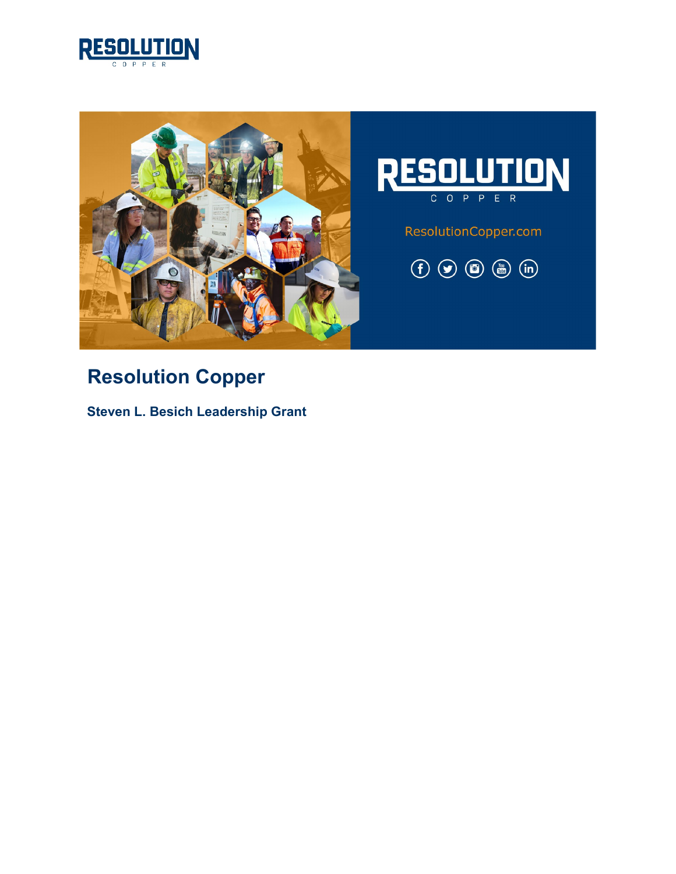



# **Resolution Copper**

**Steven L. Besich Leadership Grant**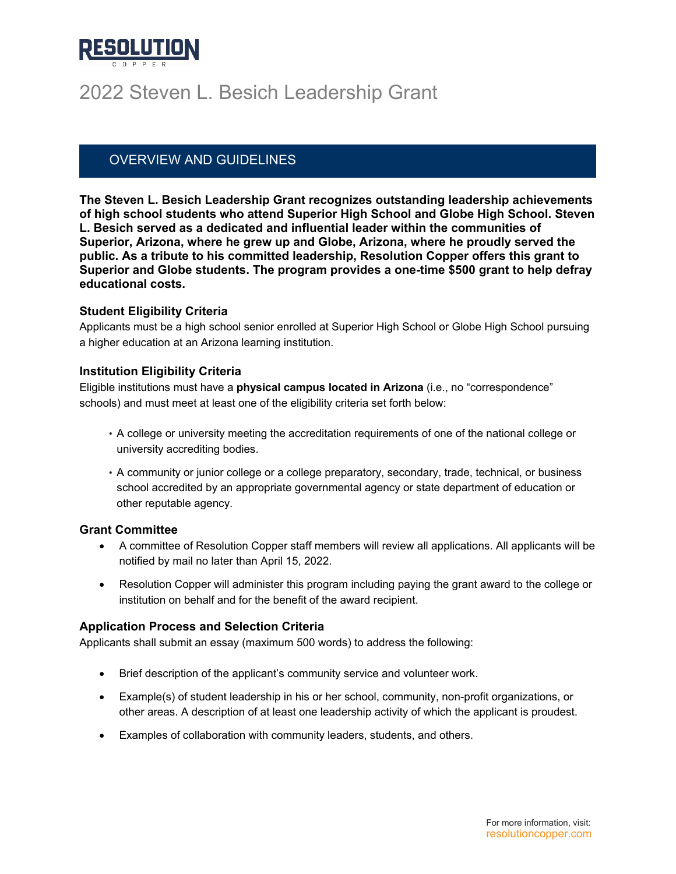

# 2022 Steven L. Besich Leadership Grant

### OVERVIEW AND GUIDELINES

**The Steven L. Besich Leadership Grant recognizes outstanding leadership achievements of high school students who attend Superior High School and Globe High School. Steven L. Besich served as a dedicated and influential leader within the communities of Superior, Arizona, where he grew up and Globe, Arizona, where he proudly served the public. As a tribute to his committed leadership, Resolution Copper offers this grant to Superior and Globe students. The program provides a one-time \$500 grant to help defray educational costs.**

#### **Student Eligibility Criteria**

Applicants must be a high school senior enrolled at Superior High School or Globe High School pursuing a higher education at an Arizona learning institution.

#### **Institution Eligibility Criteria**

Eligible institutions must have a **physical campus located in Arizona** (i.e., no "correspondence" schools) and must meet at least one of the eligibility criteria set forth below:

- A college or university meeting the accreditation requirements of one of the national college or university accrediting bodies.
- A community or junior college or a college preparatory, secondary, trade, technical, or business school accredited by an appropriate governmental agency or state department of education or other reputable agency.

#### **Grant Committee**

- A committee of Resolution Copper staff members will review all applications. All applicants will be notified by mail no later than April 15, 2022.
- Resolution Copper will administer this program including paying the grant award to the college or institution on behalf and for the benefit of the award recipient.

#### **Application Process and Selection Criteria**

Applicants shall submit an essay (maximum 500 words) to address the following:

- Brief description of the applicant's community service and volunteer work.
- Example(s) of student leadership in his or her school, community, non-profit organizations, or other areas. A description of at least one leadership activity of which the applicant is proudest.
- Examples of collaboration with community leaders, students, and others.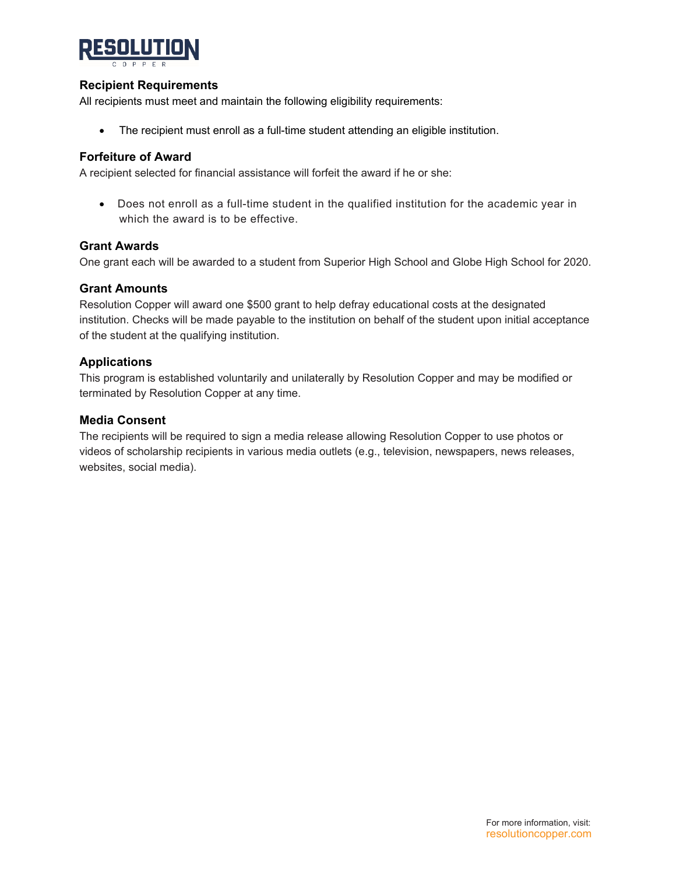

#### **Recipient Requirements**

All recipients must meet and maintain the following eligibility requirements:

• The recipient must enroll as a full-time student attending an eligible institution.

#### **Forfeiture of Award**

A recipient selected for financial assistance will forfeit the award if he or she:

• Does not enroll as a full-time student in the qualified institution for the academic year in which the award is to be effective.

#### **Grant Awards**

One grant each will be awarded to a student from Superior High School and Globe High School for 2020.

#### **Grant Amounts**

Resolution Copper will award one \$500 grant to help defray educational costs at the designated institution. Checks will be made payable to the institution on behalf of the student upon initial acceptance of the student at the qualifying institution.

#### **Applications**

This program is established voluntarily and unilaterally by Resolution Copper and may be modified or terminated by Resolution Copper at any time.

#### **Media Consent**

The recipients will be required to sign a media release allowing Resolution Copper to use photos or videos of scholarship recipients in various media outlets (e.g., television, newspapers, news releases, websites, social media).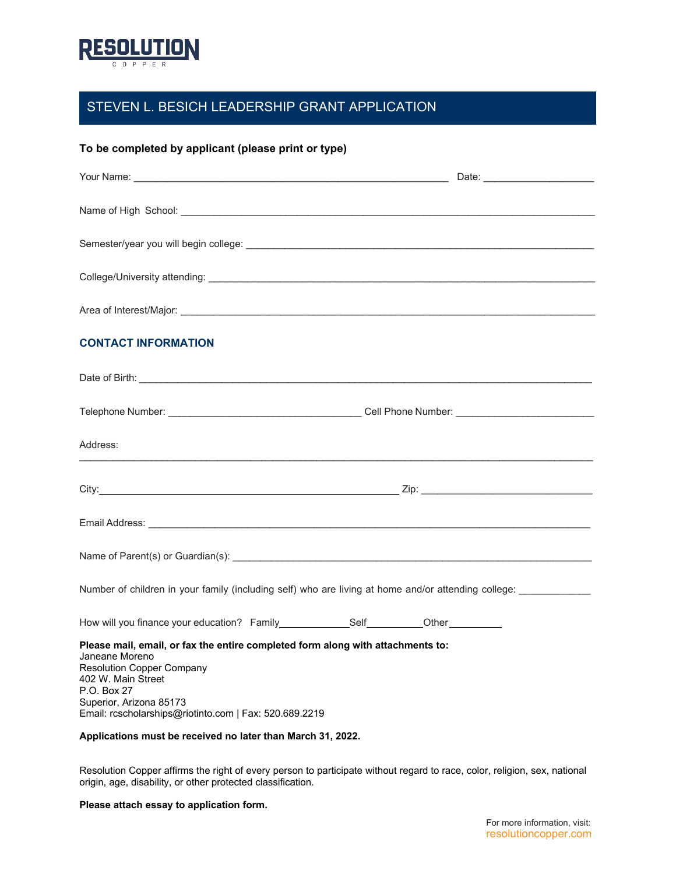

### STEVEN L. BESICH LEADERSHIP GRANT APPLICATION

#### **To be completed by applicant (please print or type)**

| <b>CONTACT INFORMATION</b>                                                                                                                                                                                                                                                                                                                                                                                                                                                      |  |
|---------------------------------------------------------------------------------------------------------------------------------------------------------------------------------------------------------------------------------------------------------------------------------------------------------------------------------------------------------------------------------------------------------------------------------------------------------------------------------|--|
|                                                                                                                                                                                                                                                                                                                                                                                                                                                                                 |  |
|                                                                                                                                                                                                                                                                                                                                                                                                                                                                                 |  |
| Address:                                                                                                                                                                                                                                                                                                                                                                                                                                                                        |  |
|                                                                                                                                                                                                                                                                                                                                                                                                                                                                                 |  |
|                                                                                                                                                                                                                                                                                                                                                                                                                                                                                 |  |
|                                                                                                                                                                                                                                                                                                                                                                                                                                                                                 |  |
| Number of children in your family (including self) who are living at home and/or attending college: __________                                                                                                                                                                                                                                                                                                                                                                  |  |
| How will you finance your education? Family________________________Other__________                                                                                                                                                                                                                                                                                                                                                                                              |  |
| Please mail, email, or fax the entire completed form along with attachments to:<br>Janeane Moreno and the contract of the contract of the contract of the contract of the contract of the contract of the contract of the contract of the contract of the contract of the contract of the contract of the contrac<br><b>Resolution Copper Company</b><br>402 W. Main Street<br>P.O. Box 27<br>Superior, Arizona 85173<br>Email: rcscholarships@riotinto.com   Fax: 520.689.2219 |  |
| Applications must be received no later than March 31, 2022.                                                                                                                                                                                                                                                                                                                                                                                                                     |  |

Resolution Copper affirms the right of every person to participate without regard to race, color, religion, sex, national origin, age, disability, or other protected classification.

#### **Please attach essay to application form.**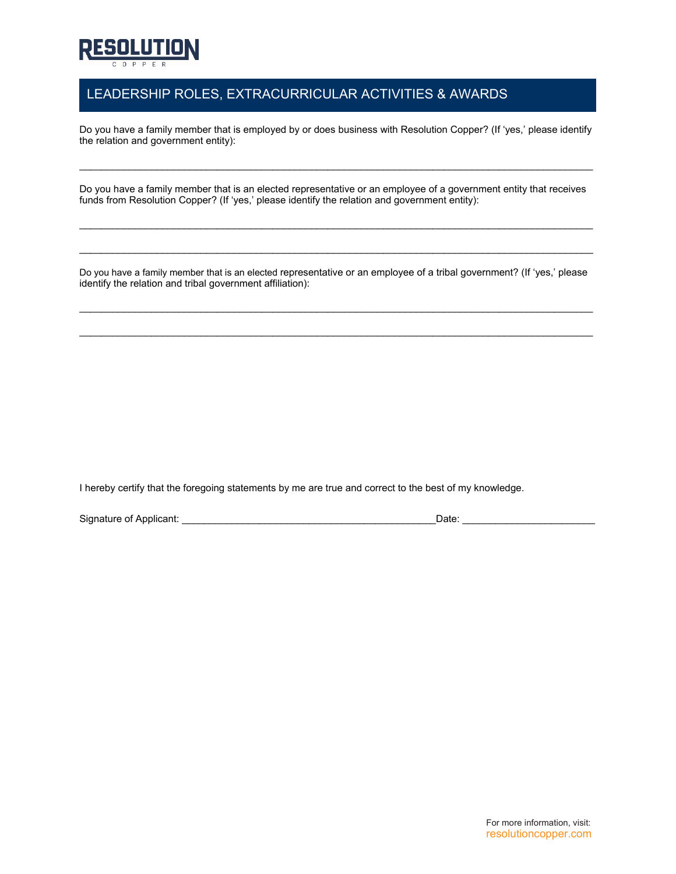

## LEADERSHIP ROLES, EXTRACURRICULAR ACTIVITIES & AWARDS

Do you have a family member that is employed by or does business with Resolution Copper? (If 'yes,' please identify the relation and government entity):

\_\_\_\_\_\_\_\_\_\_\_\_\_\_\_\_\_\_\_\_\_\_\_\_\_\_\_\_\_\_\_\_\_\_\_\_\_\_\_\_\_\_\_\_\_\_\_\_\_\_\_\_\_\_\_\_\_\_\_\_\_\_\_\_\_\_\_\_\_\_\_\_\_\_\_\_\_\_\_\_\_\_\_\_\_\_\_\_\_\_\_\_\_

Do you have a family member that is an elected representative or an employee of a government entity that receives funds from Resolution Copper? (If 'yes,' please identify the relation and government entity):

 $\mathcal{L}_\mathcal{L} = \{ \mathcal{L}_\mathcal{L} = \{ \mathcal{L}_\mathcal{L} = \{ \mathcal{L}_\mathcal{L} = \{ \mathcal{L}_\mathcal{L} = \{ \mathcal{L}_\mathcal{L} = \{ \mathcal{L}_\mathcal{L} = \{ \mathcal{L}_\mathcal{L} = \{ \mathcal{L}_\mathcal{L} = \{ \mathcal{L}_\mathcal{L} = \{ \mathcal{L}_\mathcal{L} = \{ \mathcal{L}_\mathcal{L} = \{ \mathcal{L}_\mathcal{L} = \{ \mathcal{L}_\mathcal{L} = \{ \mathcal{L}_\mathcal{$ 

 $\mathcal{L}_\mathcal{L} = \{ \mathcal{L}_\mathcal{L} = \{ \mathcal{L}_\mathcal{L} = \{ \mathcal{L}_\mathcal{L} = \{ \mathcal{L}_\mathcal{L} = \{ \mathcal{L}_\mathcal{L} = \{ \mathcal{L}_\mathcal{L} = \{ \mathcal{L}_\mathcal{L} = \{ \mathcal{L}_\mathcal{L} = \{ \mathcal{L}_\mathcal{L} = \{ \mathcal{L}_\mathcal{L} = \{ \mathcal{L}_\mathcal{L} = \{ \mathcal{L}_\mathcal{L} = \{ \mathcal{L}_\mathcal{L} = \{ \mathcal{L}_\mathcal{$ 

Do you have a family member that is an elected representative or an employee of a tribal government? (If 'yes,' please identify the relation and tribal government affiliation):

\_\_\_\_\_\_\_\_\_\_\_\_\_\_\_\_\_\_\_\_\_\_\_\_\_\_\_\_\_\_\_\_\_\_\_\_\_\_\_\_\_\_\_\_\_\_\_\_\_\_\_\_\_\_\_\_\_\_\_\_\_\_\_\_\_\_\_\_\_\_\_\_\_\_\_\_\_\_\_\_\_\_\_\_\_\_\_\_\_\_\_\_\_

 $\_$  ,  $\_$  ,  $\_$  ,  $\_$  ,  $\_$  ,  $\_$  ,  $\_$  ,  $\_$  ,  $\_$  ,  $\_$  ,  $\_$  ,  $\_$  ,  $\_$  ,  $\_$  ,  $\_$  ,  $\_$  ,  $\_$  ,  $\_$  ,  $\_$  ,  $\_$  ,  $\_$  ,  $\_$  ,  $\_$  ,  $\_$  ,  $\_$  ,  $\_$  ,  $\_$  ,  $\_$  ,  $\_$  ,  $\_$  ,  $\_$  ,  $\_$  ,  $\_$  ,  $\_$  ,  $\_$  ,  $\_$  ,  $\_$  ,

I hereby certify that the foregoing statements by me are true and correct to the best of my knowledge.

Signature of Applicant: \_\_\_\_\_\_\_\_\_\_\_\_\_\_\_\_\_\_\_\_\_\_\_\_\_\_\_\_\_\_\_\_\_\_\_\_\_\_\_\_\_\_\_\_\_\_Date: \_\_\_\_\_\_\_\_\_\_\_\_\_\_\_\_\_\_\_\_\_\_\_\_